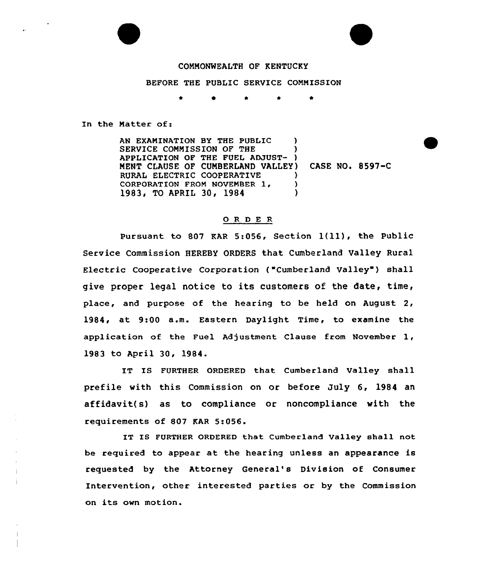

## COMMONWEALTH OF KENTUCKY

## BEFORE THE PUBLIC SERVICE COMMISSION

\* \* \*

In the Natter of:

AN EXAMINATION BY THE PUBLIC ) SERVICE COMMISSION OF THE APPLICATION OF THE FUEL ADJUST- ) MENT CLAUSE OF CUMBERLAND VALLEY) CASE NO. 8597-C RURAL ELECTRIC COOPERATIVE ) CORPORATION FROM NOVEMBER 1, (2) 1983, TO APRIL 30, 1984

## O R D E R

Pursuant to <sup>807</sup> KAR 5:056, Section 1(ll), the Public Service Commission HEREBY ORDERS that Cumberland Valley Rural Electric Cooperative Corporation ("Cumberland Valley") shall give proper legal notice to its customers of the date, time, place, and purpose of the hearing to be held on August 2, 1984, at 9:00 a.m. Eastern Daylight Time, to examine the application of the Fuel Adjustment Clause from November 1, 1983 to April 30, 1984.

IT IS FURTHER ORDERED that Cumberland Valley shall prefile with this Commission on or before July 6, 1984 an affidavit( s) as to compliance or noncompliance with the requirements of 807 KAR 5:056.

IT IS FURTHER ORDERED that Cumberland Valley shall not be required to appear at the hearing unless an appearance is requested by the Attorney General's Division of Consumer Intervention, other interested parties or by the Commission on its own motion.